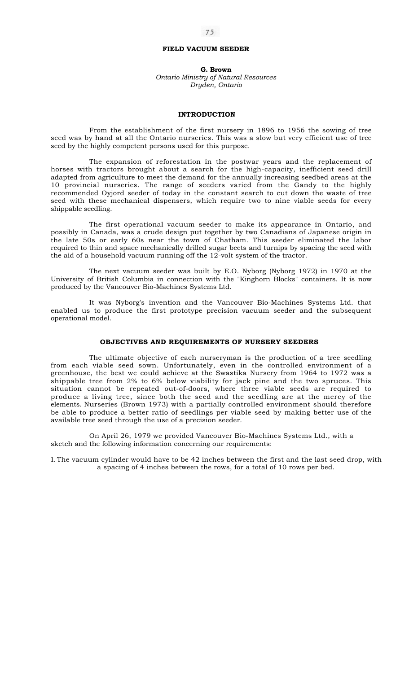# **FIELD VACUUM SEEDER**

**G. Brown**  *Ontario Ministry of Natural Resources Dryden, Ontario* 

### **INTRODUCTION**

From the establishment of the first nursery in 1896 to 1956 the sowing of tree seed was by hand at all the Ontario nurseries. This was a slow but very efficient use of tree seed by the highly competent persons used for this purpose.

The expansion of reforestation in the postwar years and the replacement of horses with tractors brought about a search for the high-capacity, inefficient seed drill adapted from agriculture to meet the demand for the annually increasing seedbed areas at the 10 provincial nurseries. The range of seeders varied from the Gandy to the highly recommended Oyjord seeder of today in the constant search to cut down the waste of tree seed with these mechanical dispensers, which require two to nine viable seeds for every shippable seedling.

The first operational vacuum seeder to make its appearance in Ontario, and possibly in Canada, was a crude design put together by two Canadians of Japanese origin in the late 50s or early 60s near the town of Chatham. This seeder eliminated the labor required to thin and space mechanically drilled sugar beets and turnips by spacing the seed with the aid of a household vacuum running off the 12-volt system of the tractor.

The next vacuum seeder was built by E.O. Nyborg (Nyborg 1972) in 1970 at the University of British Columbia in connection with the "Kinghorn Blocks" containers. It is now produced by the Vancouver Bio-Machines Systems Ltd.

It was Nyborg's invention and the Vancouver Bio-Machines Systems Ltd. that enabled us to produce the first prototype precision vacuum seeder and the subsequent operational model.

## **OBJECTIVES AND REQUIREMENTS OF NURSERY SEEDERS**

The ultimate objective of each nurseryman is the production of a tree seedling from each viable seed sown. Unfortunately, even in the controlled environment of a greenhouse, the best we could achieve at the Swastika Nursery from 1964 to 1972 was a shippable tree from 2% to 6% below viability for jack pine and the two spruces. This situation cannot be repeated out-of-doors, where three viable seeds are required to produce a living tree, since both the seed and the seedling are at the mercy of the elements. Nurseries (Brown 1973) with a partially controlled environment should therefore be able to produce a better ratio of seedlings per viable seed by making better use of the available tree seed through the use of a precision seeder.

On April 26, 1979 we provided Vancouver Bio-Machines Systems Ltd., with a sketch and the following information concerning our requirements:

1. The vacuum cylinder would have to be 42 inches between the first and the last seed drop, with a spacing of 4 inches between the rows, for a total of 10 rows per bed.

## 75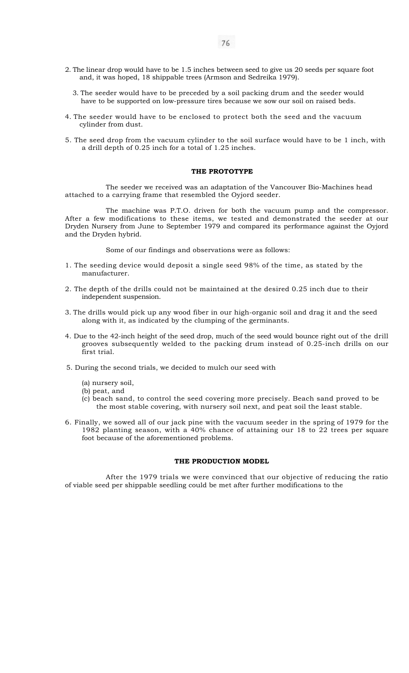- 2. The linear drop would have to be 1.5 inches between seed to give us 20 seeds per square foot and, it was hoped, 18 shippable trees (Armson and Sedreika 1979).
	- 3. The seeder would have to be preceded by a soil packing drum and the seeder would have to be supported on low-pressure tires because we sow our soil on raised beds.
- 4. The seeder would have to be enclosed to protect both the seed and the vacuum cylinder from dust.
- 5. The seed drop from the vacuum cylinder to the soil surface would have to be 1 inch, with a drill depth of 0.25 inch for a total of 1.25 inches.

# **THE PROTOTYPE**

The seeder we received was an adaptation of the Vancouver Bio-Machines head attached to a carrying frame that resembled the Oyjord seeder.

The machine was P.T.O. driven for both the vacuum pump and the compressor. After a few modifications to these items, we tested and demonstrated the seeder at our Dryden Nursery from June to September 1979 and compared its performance against the Oyjord and the Dryden hybrid.

Some of our findings and observations were as follows:

- 1. The seeding device would deposit a single seed 98% of the time, as stated by the manufacturer.
- 2. The depth of the drills could not be maintained at the desired 0.25 inch due to their independent suspension.
- 3. The drills would pick up any wood fiber in our high-organic soil and drag it and the seed along with it, as indicated by the clumping of the germinants.
- 4. Due to the 42-inch height of the seed drop, much of the seed would bounce right out of the drill grooves subsequently welded to the packing drum instead of 0.25-inch drills on our first trial.
- 5. During the second trials, we decided to mulch our seed with
	- (a) nursery soil,
	- (b) peat, and
	- (c) beach sand, to control the seed covering more precisely. Beach sand proved to be the most stable covering, with nursery soil next, and peat soil the least stable.
- 6. Finally, we sowed all of our jack pine with the vacuum seeder in the spring of 1979 for the 1982 planting season, with a 40% chance of attaining our 18 to 22 trees per square foot because of the aforementioned problems.

#### **THE PRODUCTION MODEL**

After the 1979 trials we were convinced that our objective of reducing the ratio of viable seed per shippable seedling could be met after further modifications to the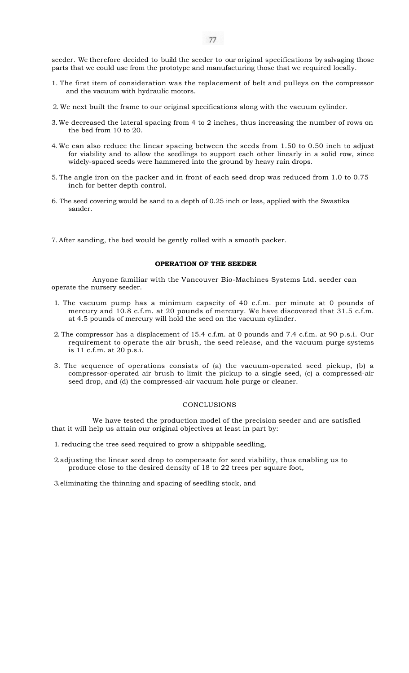seeder. We therefore decided to build the seeder to our original specifications by salvaging those parts that we could use from the prototype and manufacturing those that we required locally.

- 1. The first item of consideration was the replacement of belt and pulleys on the compressor and the vacuum with hydraulic motors.
- 2. We next built the frame to our original specifications along with the vacuum cylinder.
- 3. We decreased the lateral spacing from 4 to 2 inches, thus increasing the number of rows on the bed from 10 to 20.
- 4. We can also reduce the linear spacing between the seeds from 1.50 to 0.50 inch to adjust for viability and to allow the seedlings to support each other linearly in a solid row, since widely-spaced seeds were hammered into the ground by heavy rain drops.
- 5. The angle iron on the packer and in front of each seed drop was reduced from 1.0 to 0.75 inch for better depth control.
- 6. The seed covering would be sand to a depth of 0.25 inch or less, applied with the Swastika sander.
- 7. After sanding, the bed would be gently rolled with a smooth packer.

## **OPERATION OF THE SEEDER**

Anyone familiar with the Vancouver Bio-Machines Systems Ltd. seeder can operate the nursery seeder.

- 1. The vacuum pump has a minimum capacity of 40 c.f.m. per minute at 0 pounds of mercury and 10.8 c.f.m. at 20 pounds of mercury. We have discovered that 31.5 c.f.m. at 4.5 pounds of mercury will hold the seed on the vacuum cylinder.
- 2. The compressor has a displacement of 15.4 c.f.m. at 0 pounds and 7.4 c.f.m. at 90 p.s.i. Our requirement to operate the air brush, the seed release, and the vacuum purge systems is 11 c.f.m. at 20 p.s.i.
- 3. The sequence of operations consists of (a) the vacuum-operated seed pickup, (b) a compressor-operated air brush to limit the pickup to a single seed, (c) a compressed-air seed drop, and (d) the compressed-air vacuum hole purge or cleaner.

## **CONCLUSIONS**

We have tested the production model of the precision seeder and are satisfied that it will help us attain our original objectives at least in part by:

1. reducing the tree seed required to grow a shippable seedling,

2. adjusting the linear seed drop to compensate for seed viability, thus enabling us to produce close to the desired density of 18 to 22 trees per square foot,

3. eliminating the thinning and spacing of seedling stock, and